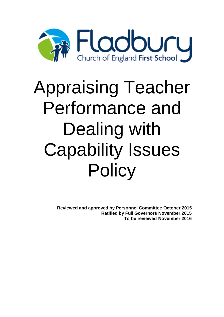

# Appraising Teacher Performance and Dealing with Capability Issues **Policy**

**Reviewed and approved by Personnel Committee October 2015 Ratified by Full Governors November 2015 To be reviewed November 2016**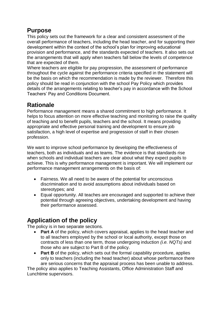# **Purpose**

This policy sets out the framework for a clear and consistent assessment of the overall performance of teachers, including the head teacher, and for supporting their development within the context of the school's plan for improving educational provision and performance, and the standards expected of teachers. It also sets out the arrangements that will apply when teachers fall below the levels of competence that are expected of them.

Where teachers are eligible for pay progression, the assessment of performance throughout the cycle against the performance criteria specified in the statement will be the basis on which the recommendation is made by the reviewer. Therefore this policy should be read in conjunction with the school Pay Policy which provides details of the arrangements relating to teacher's pay in accordance with the School Teachers' Pay and Conditions Document.

## **Rationale**

Performance management means a shared commitment to high performance. It helps to focus attention on more effective teaching and monitoring to raise the quality of teaching and to benefit pupils, teachers and the school. It means providing appropriate and effective personal training and development to ensure job satisfaction, a high level of expertise and progression of staff in their chosen profession.

We want to improve school performance by developing the effectiveness of teachers, both as individuals and as teams. The evidence is that standards rise when schools and individual teachers are clear about what they expect pupils to achieve. This is why performance management is important. We will implement our performance management arrangements on the basis of:

- Fairness. We all need to be aware of the potential for unconscious discrimination and to avoid assumptions about individuals based on stereotypes; and
- Equal opportunity. All teaches are encouraged and supported to achieve their potential through agreeing objectives, undertaking development and having their performance assessed.

# **Application of the policy**

The policy is in two separate sections.

- **Part A** of the policy, which covers appraisal, applies to the head teacher and to all teachers employed by the school or local authority, except those on contracts of less than one term, those undergoing induction *(i.e. NQTs)* and those who are subject to Part B of the policy.
- **Part B** of the policy, which sets out the formal capability procedure, applies only to teachers (including the head teacher) about whose performance there are serious concerns that the appraisal process has been unable to address.

The policy also applies to Teaching Assistants, Office Administration Staff and Lunchtime supervisors.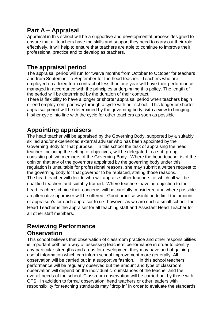# **Part A – Appraisal**

Appraisal in this school will be a supportive and developmental process designed to ensure that all teachers have the skills and support they need to carry out their role effectively. It will help to ensure that teachers are able to continue to improve their professional practice and to develop as teachers.

#### **The appraisal period**

The appraisal period will run for twelve months from October to October for teachers and from September to September for the head teacher. Teachers who are employed on a fixed term contract of less than one year will have their performance managed in accordance with the principles underpinning this policy. The length of the period will be determined by the duration of their contract.

There is flexibility to have a longer or shorter appraisal period when teachers begin or end employment part way through a cycle with our school. This longer or shorter appraisal period will be determined by the governing body, with a view to bringing his/her cycle into line with the cycle for other teachers as soon as possible

# **Appointing appraisers**

The head teacher will be appraised by the Governing Body, supported by a suitably skilled and/or experienced external adviser who has been appointed by the Governing Body for that purpose. In this school the task of appraising the head teacher, including the setting of objectives, will be delegated to a sub-group consisting of two members of the Governing Body. Where the head teacher is of the opinion that any of the governors appointed by the governing body under this regulation is unsuitable for professional reasons, she may submit a written request to the governing body for that governor to be replaced, stating those reasons. The head teacher will decide who will appraise other teachers, of which all will be qualified teachers and suitably trained. Where teachers have an objection to the head teacher's choice their concerns will be carefully considered and where possible an alternative appraiser will be offered. Good practise would be to limit the amount of appraisee's for each appraiser to six, however as we are such a small school, the Head Teacher is the appraiser for all teaching staff and Assistant Head Teacher for all other staff members.

# **Reviewing Performance Observation**

This school believes that observation of classroom practice and other responsibilities is important both as a way of assessing teachers' performance in order to identify any particular strengths and areas for development they may have and of gaining useful information which can inform school improvement more generally. All observation will be carried out in a supportive fashion. In this school teachers' performance will be regularly observed but the amount and type of classroom observation will depend on the individual circumstances of the teacher and the overall needs of the school. Classroom observation will be carried out by those with QTS. In addition to formal observation, head teachers or other leaders with responsibility for teaching standards may "drop in" in order to evaluate the standards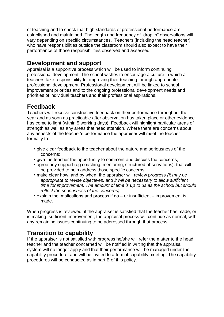of teaching and to check that high standards of professional performance are established and maintained. The length and frequency of "drop in" observations will vary depending on specific circumstances. Teachers (including the head teacher) who have responsibilities outside the classroom should also expect to have their performance of those responsibilities observed and assessed.

## **Development and support**

Appraisal is a supportive process which will be used to inform continuing professional development. The school wishes to encourage a culture in which all teachers take responsibility for improving their teaching through appropriate professional development. Professional development will be linked to school improvement priorities and to the ongoing professional development needs and priorities of individual teachers and their professional aspirations.

# **Feedback**

Teachers will receive constructive feedback on their performance throughout the year and as soon as practicable after observation has taken place or other evidence has come to light (within 5 working days). Feedback will highlight particular areas of strength as well as any areas that need attention. Where there are concerns about any aspects of the teacher's performance the appraiser will meet the teacher formally to:

- give clear feedback to the teacher about the nature and seriousness of the concerns;
- give the teacher the opportunity to comment and discuss the concerns;
- agree any support (eg coaching, mentoring, structured observations), that will be provided to help address those specific concerns;
- make clear how, and by when, the appraiser will review progress *(it may be appropriate to revise objectives, and it will be necessary to allow sufficient time for improvement. The amount of time is up to us as the school but should reflect the seriousness of the concerns)*;
- explain the implications and process if no or insufficient improvement is made.

When progress is reviewed, if the appraiser is satisfied that the teacher has made, or is making, sufficient improvement, the appraisal process will continue as normal, with any remaining issues continuing to be addressed through that process.

# **Transition to capability**

If the appraiser is not satisfied with progress he/she will refer the matter to the head teacher and the teacher concerned will be notified in writing that the appraisal system will no longer apply and that their performance will be managed under the capability procedure, and will be invited to a formal capability meeting. The capability procedures will be conducted as in part B of this policy.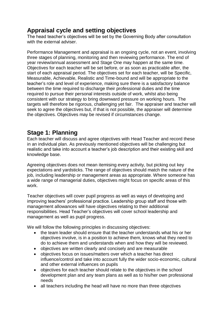# **Appraisal cycle and setting objectives**

The head teacher's objectives will be set by the Governing Body after consultation with the external adviser.

Performance Management and appraisal is an ongoing cycle, not an event, involving three stages of planning, monitoring and then reviewing performance. The end of year review/annual assessment and Stage One may happen at the same time. Objectives for each teacher will be set before, or as soon as practicable after, the start of each appraisal period. The objectives set for each teacher, will be Specific, Measurable, Achievable, Realistic and Time-bound and will be appropriate to the teacher's role and level of experience, making sure there is a satisfactory balance between the time required to discharge their professional duties and the time required to pursue their personal interests outside of work, whilst also being consistent with our strategy to bring downward pressure on working hours. The targets will therefore be rigorous, challenging yet fair. The appraiser and teacher will seek to agree the objectives but, if that is not possible, the appraiser will determine the objectives. Objectives may be revised if circumstances change.

#### **Stage 1: Planning**

Each teacher will discuss and agree objectives with Head Teacher and record these in an individual plan. As previously mentioned objectives will be challenging but realistic and take into account a teacher's job description and their existing skill and knowledge base.

Agreeing objectives does not mean itemising every activity, but picking out key expectations and yardsticks. The range of objectives should match the nature of the job, including leadership or management areas as appropriate. Where someone has a wide range of managerial duties, objectives might focus on specific areas of this work.

Teacher objectives will cover pupil progress as well as ways of developing and improving teachers' professional practice. Leadership group staff and those with management allowances will have objectives relating to their additional responsibilities. Head Teacher's objectives will cover school leadership and management as well as pupil progress.

We will follow the following principles in discussing objectives:

- the team leader should ensure that the teacher understands what his or her objectives involve, is in a position to achieve them, knows what they need to do to achieve them and understands when and how they will be reviewed.
- objectives are written clearly and concisely and are measurable
- objectives focus on issues/matters over which a teacher has direct influence/control and take into account fully the wider socio-economic, cultural and other external influences on pupils
- objectives for each teacher should relate to the objectives in the school development plan and any team plans as well as to his/her own professional needs
- all teachers including the head will have no more than three objectives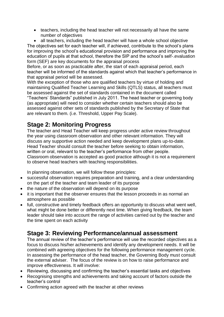• teachers, including the head teacher will not necessarily all have the same number of objectives

• all teachers, including the head teacher will have a whole school objective The objectives set for each teacher will, if achieved, contribute to the school's plans for improving the school's educational provision and performance and improving the education of pupils at that school, therefore the SIP and the school's self-.evaluation form (SEF) are key documents for the appraisal process

Before, or as soon as practicable after, the start of each appraisal period, each teacher will be informed of the standards against which that teacher's performance in that appraisal period will be assessed.

With the exception of those who are qualified teachers by virtue of holding and maintaining Qualified Teacher Learning and Skills (QTLS) status, all teachers must be assessed against the set of standards contained in the document called "Teachers' Standards" published in July 2011. The head teacher or governing body (as appropriate) will need to consider whether certain teachers should also be assessed against other sets of standards published by the Secretary of State that are relevant to them. (i.e. Threshold, Upper Pay Scale).

# **Stage 2: Monitoring Progress**

The teacher and Head Teacher will keep progress under active review throughout the year using classroom observation and other relevant information. They will discuss any supportive action needed and keep development plans up-to-date. Head Teacher should consult the teacher before seeking to obtain information, written or oral, relevant to the teacher's performance from other people. Classroom observation is accepted as good practice although it is not a requirement to observe head teachers with teaching responsibilities.

In planning observation, we will follow these principles:

- successful observation requires preparation and training, and a clear understanding on the part of the teacher and team leader of its purpose
- the nature of the observation will depend on its purpose
- it is important that the observer ensures that the lesson proceeds in as normal an atmosphere as possible
- full, constructive and timely feedback offers an opportunity to discuss what went well, what might be done better or differently next time. When giving feedback, the team leader should take into account the range of activities carried out by the teacher and the time spent on each activity

# **Stage 3: Reviewing Performance/annual assessment**

The annual review of the teacher's performance will use the recorded objectives as a focus to discuss his/her achievements and identify any development needs. It will be combined with agreeing objectives for the following performance management cycle. In assessing the performance of the head teacher, the Governing Body must consult the external adviser. The focus of the review is on how to raise performance and improve effectiveness. It will involve:

- Reviewing, discussing and confirming the teacher's essential tasks and objectives
- Recognising strengths and achievements and taking account of factors outside the teacher's control
- Confirming action agreed with the teacher at other reviews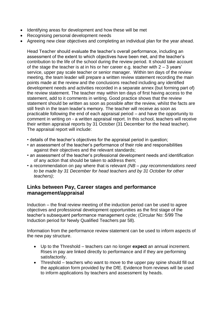- Identifying areas for development and how these will be met
- Recognising personal development needs
- Agreeing new clear objectives and completing an individual plan for the year ahead.

Head Teacher should evaluate the teacher's overall performance, including an assessment of the extent to which objectives have been met, and the teacher's contribution to the life of the school during the review period. It should take account of the stage the teacher is at in his or her career e.g. teacher with  $2 - 3$  years' service, upper pay scale teacher or senior manager. Within ten days of the review meeting, the team leader will prepare a written review statement recording the main points made at the review and the conclusions reached including any identified development needs and activities recorded in a separate annex (but forming part of) the review statement. The teacher may within ten days of first having access to the statement, add to it comments in writing. Good practice shows that the review statement should be written as soon as possible after the review, whilst the facts are still fresh in the team leader's memory. The teacher will receive as soon as practicable following the end of each appraisal period – and have the opportunity to comment in writing on - a written appraisal report. In this school, teachers will receive their written appraisal reports by 31 October (31 December for the head teacher). The appraisal report will include:

- details of the teacher's objectives for the appraisal period in question;
- an assessment of the teacher's performance of their role and responsibilities against their objectives and the relevant standards;
- an assessment of the teacher's professional development needs and identification of any action that should be taken to address them;
- a recommendation on pay where that is relevant *(NB – pay recommendations need to be made by 31 December for head teachers and by 31 October for other teachers);*

#### **Links between Pay, Career stages and performance management/appraisal**

Induction – the final review meeting of the induction period can be used to agree objectives and professional development opportunities as the first stage of the teacher's subsequent performance management cycle; (Circular No: 5/99 The Induction period for Newly Qualified Teachers par 58).

Information from the performance review statement can be used to inform aspects of the new pay structure.

- Up to the Threshold teachers can no longer **expect** an annual increment. Rises in pay are linked directly to performance and if they are performing satisfactorily.
- Threshold teachers who want to move to the upper pay spine should fill out the application form provided by the DfE. Evidence from reviews will be used to inform applications by teachers and assessment by heads.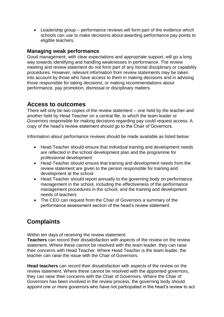• Leadership group – performance reviews will form part of the evidence which schools can use to make decisions about awarding performance pay points to eligible teachers.

#### **Managing weak performance**

Good management, with clear expectations and appropriate support, will go a long way towards identifying and handling weaknesses in performance. The review meeting and review statement do not form part of any formal disciplinary or capability procedures. However, relevant information from review statements may be taken into account by those who have access to them in making decisions and in advising those responsible for taking decisions, or making recommendations about performance, pay promotion, dismissal or disciplinary matters.

#### **Access to outcomes**

There will only be two copies of the review statement – one held by the teacher and another held by Head Teacher on a central file, to which the team leader or Governors responsible for making decisions regarding pay could request access. A copy of the head's review statement should go to the Chair of Governors.

Information about performance reviews should be made available as listed below:

- Head Teacher should ensure that individual training and development needs are reflected in the school development plan and the programme for professional development
- Head Teacher should ensure that training and development needs from the review statement are given to the person responsible for training and development at the school
- Head Teacher should report annually to the governing body on performance management in the school, including the effectiveness of the performance management procedures in the school, and the training and development needs of teachers
- The CEO can request from the Chair of Governors a summary of the performance assessment section of the head's review statement.

# **Complaints**

Within ten days of receiving the review statement:

**Teachers** can record their dissatisfaction with aspects of the review on the review statement. Where these cannot be resolved with the team leader, they can raise their concerns with Head Teacher. Where Head Teacher is the team leader, the teacher can raise the issue with the Chair of Governors.

**Head teachers** can record their dissatisfaction with aspects of the review on the review statement. Where these cannot be resolved with the appointed governors, they can raise their concerns with the Chair of Governors. Where the Chair of Governors has been involved in the review process, the governing body should appoint one or more governors who have not participated in the head's review to act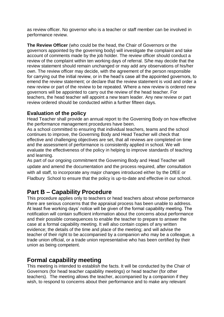as review officer. No governor who is a teacher or staff member can be involved in performance review.

**The Review Officer** (who could be the head, the Chair of Governors or the governors appointed by the governing body) will investigate the complaint and take account of comments made by the job holder. The review officer should conduct a review of the complaint within ten working days of referral. S/he may decide that the review statement should remain unchanged or may add any observations of his/her own. The review officer may decide, with the agreement of the person responsible for carrying out the initial review, or in the head's case all the appointed governors, to emend the review statement; or declare that the review statement is void and order a new review or part of the review to be repeated. Where a new review is ordered new governors will be appointed to carry out the review of the head teacher. For teachers, the head teacher will appoint a new team leader. Any new review or part review ordered should be conducted within a further fifteen days.

#### **Evaluation of the policy**

Head Teacher shall provide an annual report to the Governing Body on how effective the performance management procedures have been.

As a school committed to ensuring that individual teachers, teams and the school continues to improve, the Governing Body and Head Teacher will check that effective and challenging objectives are set, that all reviews are completed on time and the assessment of performance is consistently applied in school. We will evaluate the effectiveness of the policy in helping to improve standards of teaching and learning.

As part of our ongoing commitment the Governing Body and Head Teacher will update and amend the documentation and the process required, after consultation with all staff, to incorporate any major changes introduced either by the DfEE or Fladbury School to ensure that the policy is up-to-date and effective in our school.

## **Part B – Capability Procedure**

This procedure applies only to teachers or head teachers about whose performance there are serious concerns that the appraisal process has been unable to address. At least five working days' notice will be given of the formal capability meeting. The notification will contain sufficient information about the concerns about performance and their possible consequences to enable the teacher to prepare to answer the case at a formal capability meeting. It will also contain copies of any written evidence; the details of the time and place of the meeting; and will advise the teacher of their right to be accompanied by a companion who may be a colleague, a trade union official, or a trade union representative who has been certified by their union as being competent.

#### **Formal capability meeting**

This meeting is intended to establish the facts. It will be conducted by the Chair of Governors (for head teacher capability meetings) or head teacher (for other teachers). The meeting allows the teacher, accompanied by a companion if they wish, to respond to concerns about their performance and to make any relevant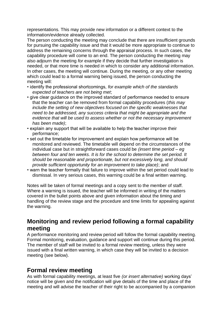representations. This may provide new information or a different context to the information/evidence already collected.

The person conducting the meeting may conclude that there are insufficient grounds for pursuing the capability issue and that it would be more appropriate to continue to address the remaining concerns through the appraisal process. In such cases, the capability procedure will come to an end. The person conducting the meeting may also adjourn the meeting *for* example if they decide that further investigation is needed, or that more time is needed in which to consider any additional information. In other cases, the meeting will continue. During the meeting, or any other meeting which could lead to a formal warning being issued, the person conducting the meeting will:

- identify the professional shortcomings, *for example which of the standards expected of teachers are not being met*;
- give clear guidance on the improved standard of performance needed to ensure that the teacher can be removed from formal capability procedures (*this may include the setting of new objectives focused on the specific weaknesses that need to be addressed, any success criteria that might be appropriate and the evidence that will be used to assess whether or not the necessary improvement has been made)*;
- explain any support that will be available to help the teacher improve their performance;
- set out the timetable for improvement and explain how performance will be monitored and reviewed. The timetable will depend on the circumstances of the individual case but in straightforward cases could be *(insert time period – eg between four and ten weeks. It is for the school to determine the set period. It should be reasonable and proportionate, but not excessively long, and should provide sufficient opportunity for an improvement to take place)*; and
- warn the teacher formally that failure to improve within the set period could lead to dismissal. In very serious cases, this warning could be a final written warning.

Notes will be taken of formal meetings and a copy sent to the member of staff. Where a warning is issued, the teacher will be informed in writing of the matters covered in the bullet points above and given information about the timing and handling of the review stage and the procedure and time limits for appealing against the warning.

#### **Monitoring and review period following a formal capability meeting**

A performance monitoring and review period will follow the formal capability meeting. Formal monitoring, evaluation, guidance and support will continue during this period. The member of staff will be invited to a formal review meeting, unless they were issued with a final written warning, in which case they will be invited to a decision meeting (see below).

#### **Formal review meeting**

As with formal capability meetings, at least five *(or insert alternative)* working days' notice will be given and the notification will give details of the time and place of the meeting and will advise the teacher of their right to be accompanied by a companion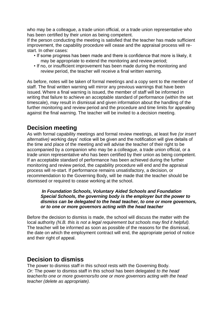who may be a colleague, a trade union official, or a trade union representative who has been certified by their union as being competent.

If the person conducting the meeting is satisfied that the teacher has made sufficient improvement, the capability procedure will cease and the appraisal process will restart. In other cases:

- If some progress has been made and there is confidence that more is likely, it may be appropriate to extend the monitoring and review period;
- If no, or insufficient improvement has been made during the monitoring and review period, the teacher will receive a final written warning.

As before, notes will be taken of formal meetings and a copy sent to the member of staff. The final written warning will mirror any previous warnings that have been issued. Where a final warning is issued, the member of staff will be informed in writing that failure to achieve an acceptable standard of performance (within the set timescale), may result in dismissal and given information about the handling of the further monitoring and review period and the procedure and time limits for appealing against the final warning. The teacher will be invited to a decision meeting.

#### **Decision meeting**

As with formal capability meetings and formal review meetings, at least five *(or insert alternative)* working days' notice will be given and the notification will give details of the time and place of the meeting and will advise the teacher of their right to be accompanied by a companion who may be a colleague, a trade union official, or a trade union representative who has been certified by their union as being competent. If an acceptable standard of performance has been achieved during the further monitoring and review period, the capability procedure will end and the appraisal process will re-start. If performance remains unsatisfactory, a decision, or recommendation to the Governing Body, will be made that the teacher should be dismissed or required to cease working at the school.

#### *In Foundation Schools, Voluntary Aided Schools and Foundation Special Schools, the governing body is the employer but the power to dismiss can be delegated to the head teacher, to one or more governors, or to one or more governors acting with the head teacher*

Before the decision to dismiss is made, the school will discuss the matter with the local authority *(N.B. this is not a legal requirement but schools may find it helpful).*  The teacher will be informed as soon as possible of the reasons for the dismissal, the date on which the employment contract will end, the appropriate period of notice and their right of appeal.

#### **Decision to dismiss**

The power to dismiss staff in this school rests with the Governing Body. *Or:* The power to dismiss staff in this school has been delegated *to the head teacher/to one or more governors/to one or more governors acting with the head teacher (delete as appropriate).*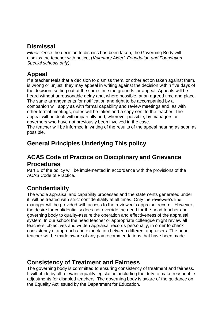#### **Dismissal**

*Either:* Once the decision to dismiss has been taken, the Governing Body will dismiss the teacher with notice, (*Voluntary Aided, Foundation and Foundation Special schools only).* 

# **Appeal**

If a teacher feels that a decision to dismiss them, or other action taken against them*,*  is wrong or unjust, they may appeal in writing against the decision within five days of the decision, setting out at the same time the grounds for appeal. Appeals will be heard without unreasonable delay and, where possible, at an agreed time and place. The same arrangements for notification and right to be accompanied by a companion will apply as with formal capability and review meetings and, as with other formal meetings, notes will be taken and a copy sent to the teacher. The appeal will be dealt with impartially and, wherever possible, by managers or governors who have not previously been involved in the case.

The teacher will be informed in writing of the results of the appeal hearing as soon as possible.

# **General Principles Underlying This policy**

#### **ACAS Code of Practice on Disciplinary and Grievance Procedures**

Part B of the policy will be implemented in accordance with the provisions of the ACAS Code of Practice.

# **Confidentiality**

The whole appraisal and capability processes and the statements generated under it, will be treated with strict confidentiality at all times. Only the reviewee's line manager will be provided with access to the reviewee's appraisal record. However, the desire for confidentiality does not override the need for the head teacher and governing body to quality-assure the operation and effectiveness of the appraisal system. In our school the head teacher or appropriate colleague might review all teachers' objectives and written appraisal records personally, in order to check consistency of approach and expectation between different appraisers. The head teacher will be made aware of any pay recommendations that have been made.

# **Consistency of Treatment and Fairness**

The governing body is committed to ensuring consistency of treatment and fairness. It will abide by all relevant equality legislation, including the duty to make reasonable adjustments for disabled teachers. The governing body is aware of the guidance on the Equality Act issued by the Department for Education.